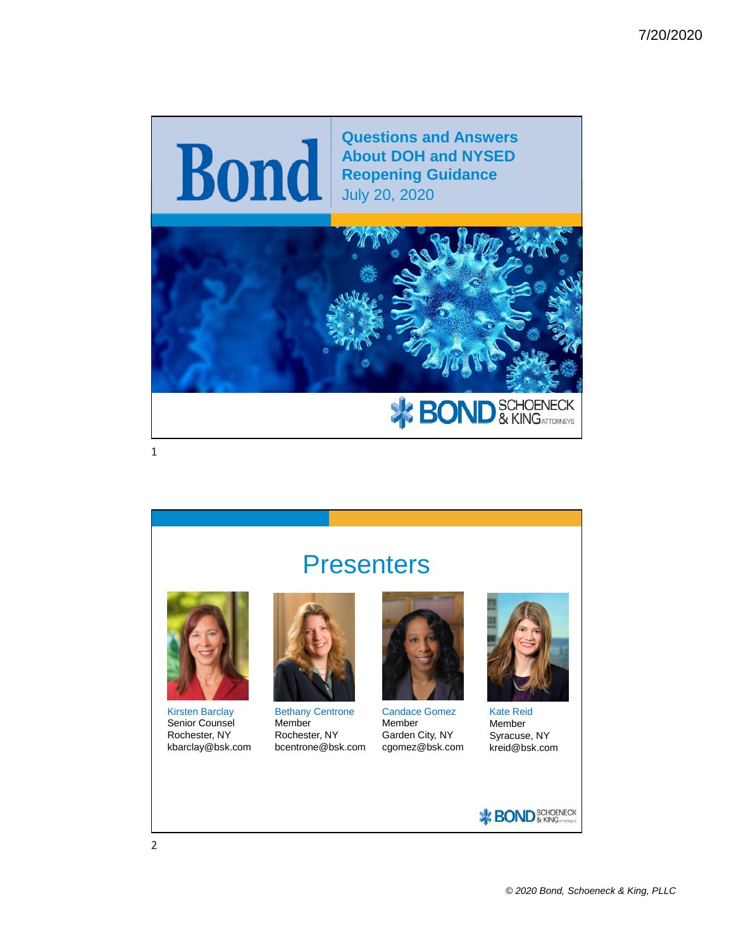

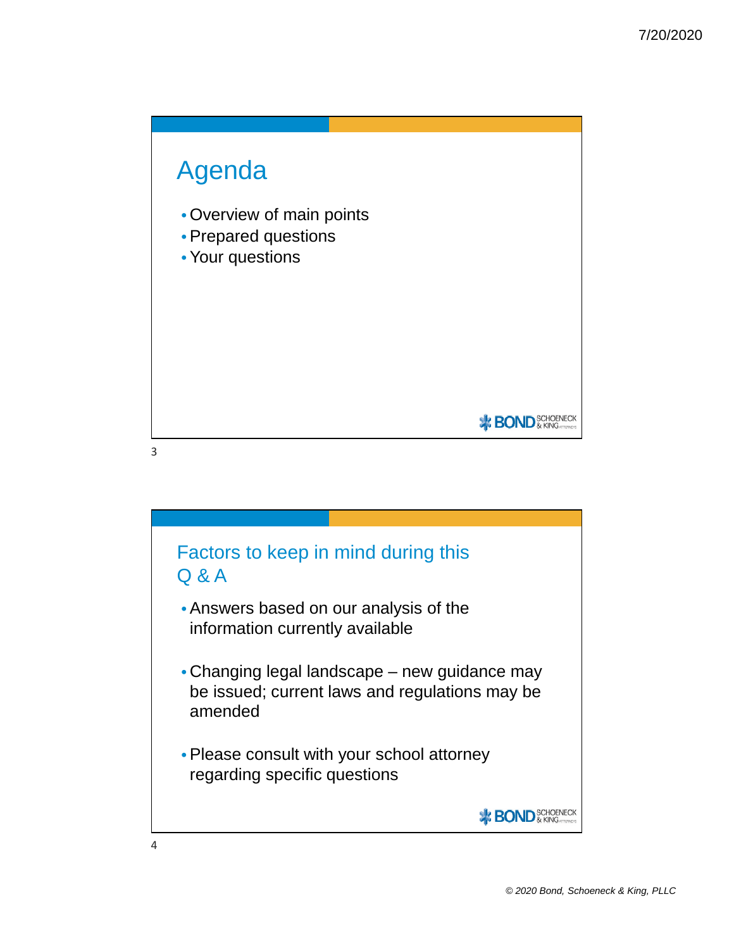

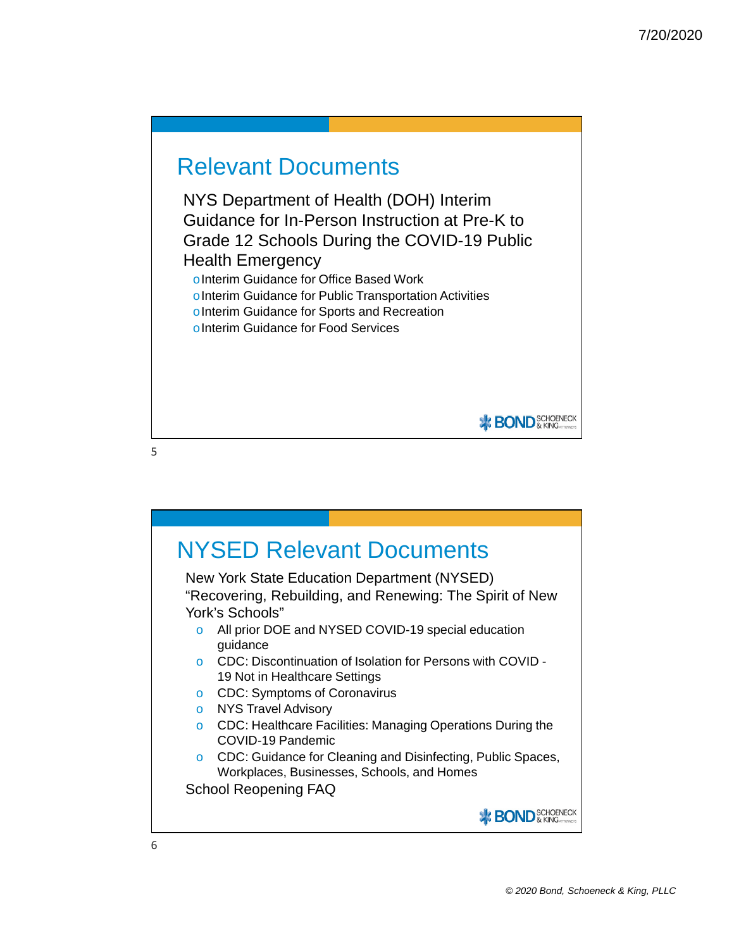

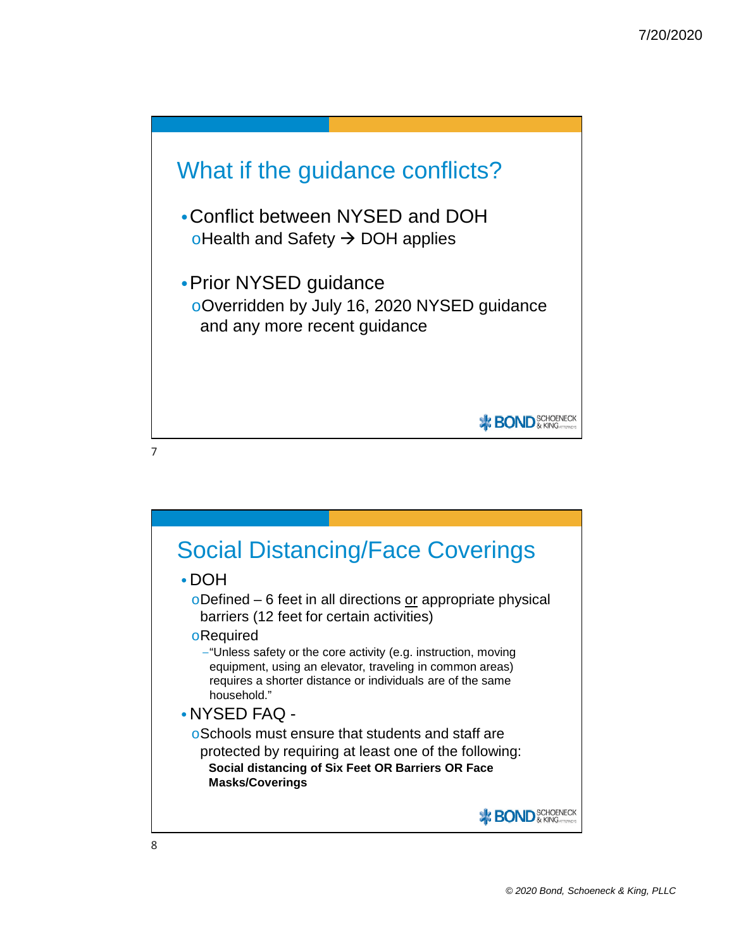

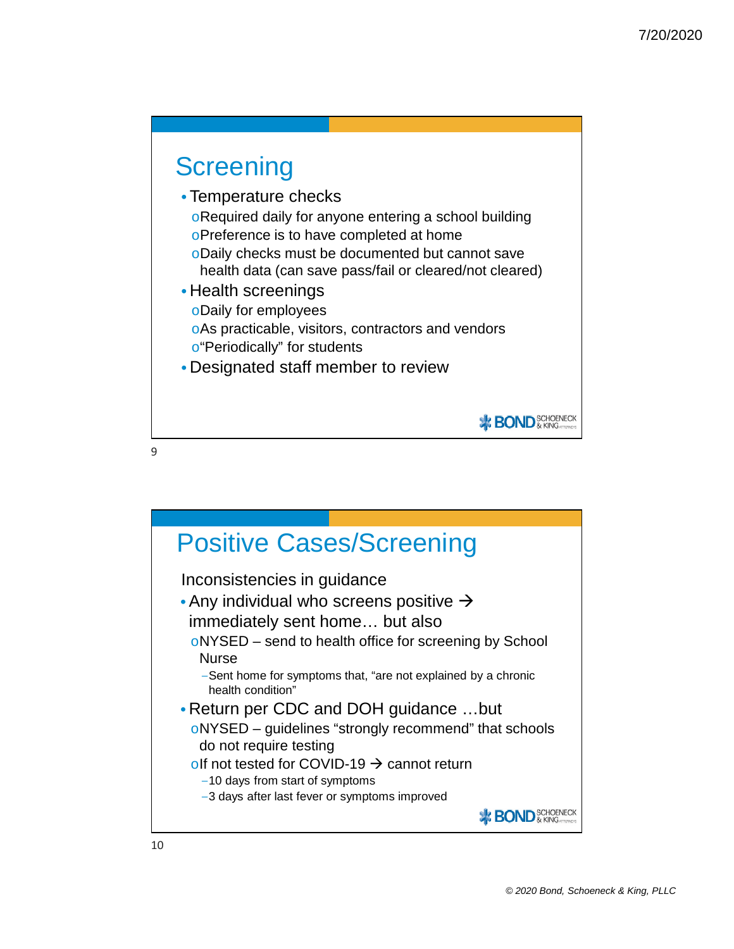

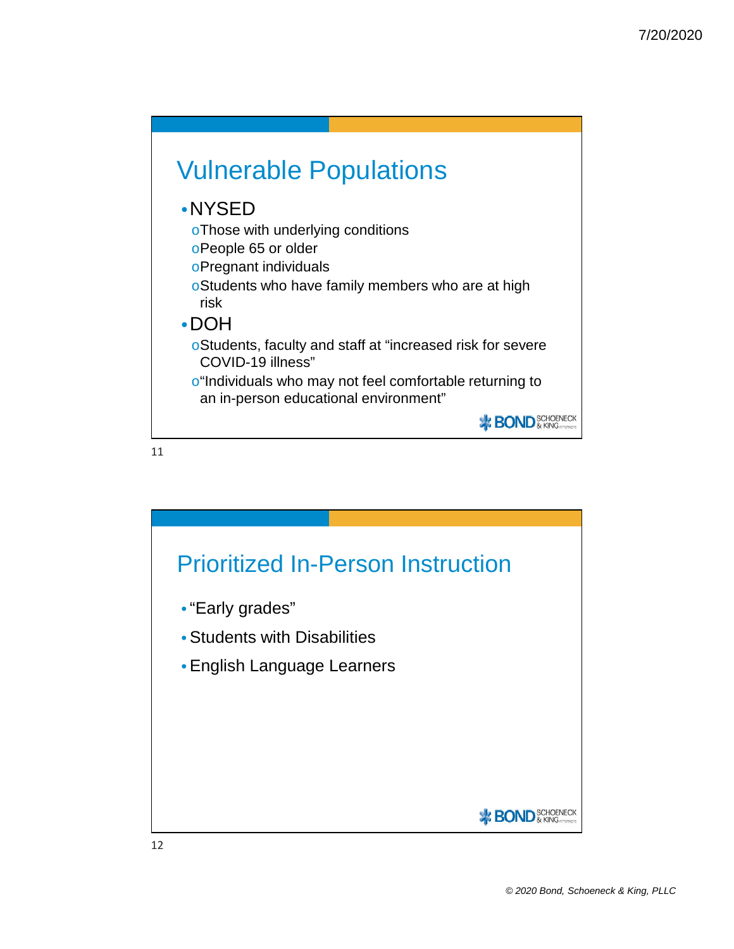

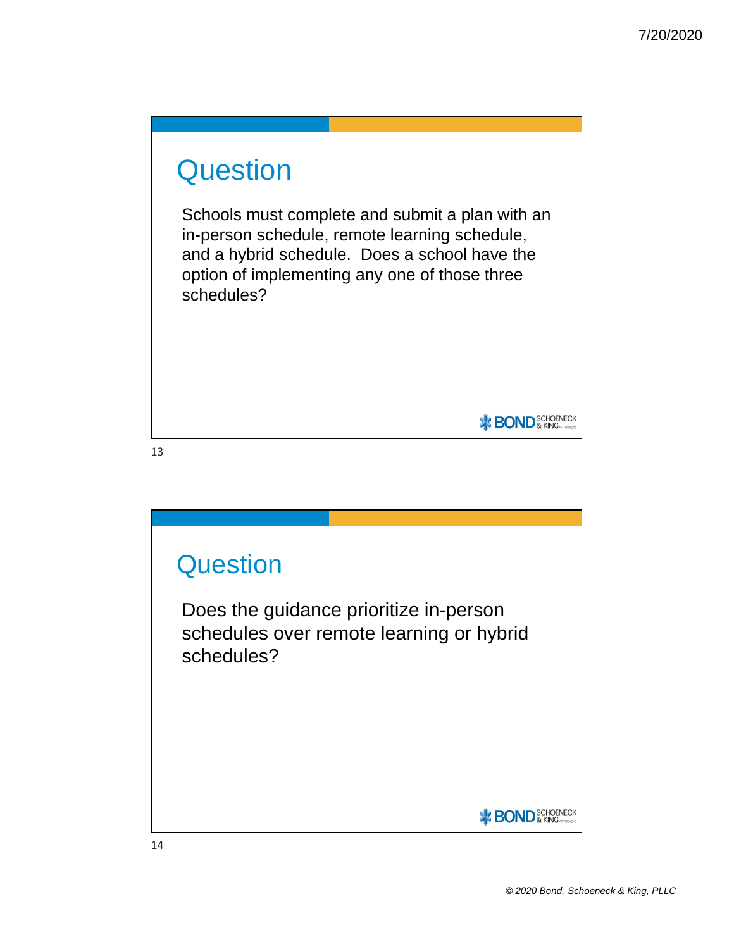## **Question**

Schools must complete and submit a plan with an in-person schedule, remote learning schedule, and a hybrid schedule. Does a school have the option of implementing any one of those three schedules?

13



**\*** BOND<sup>SCHOENECK</sup>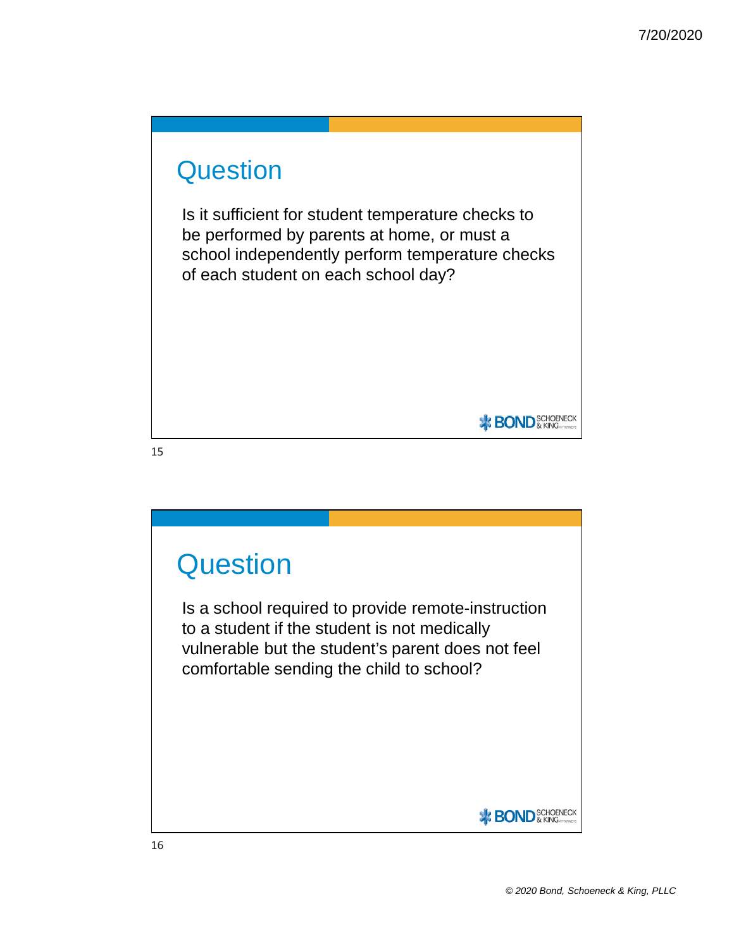

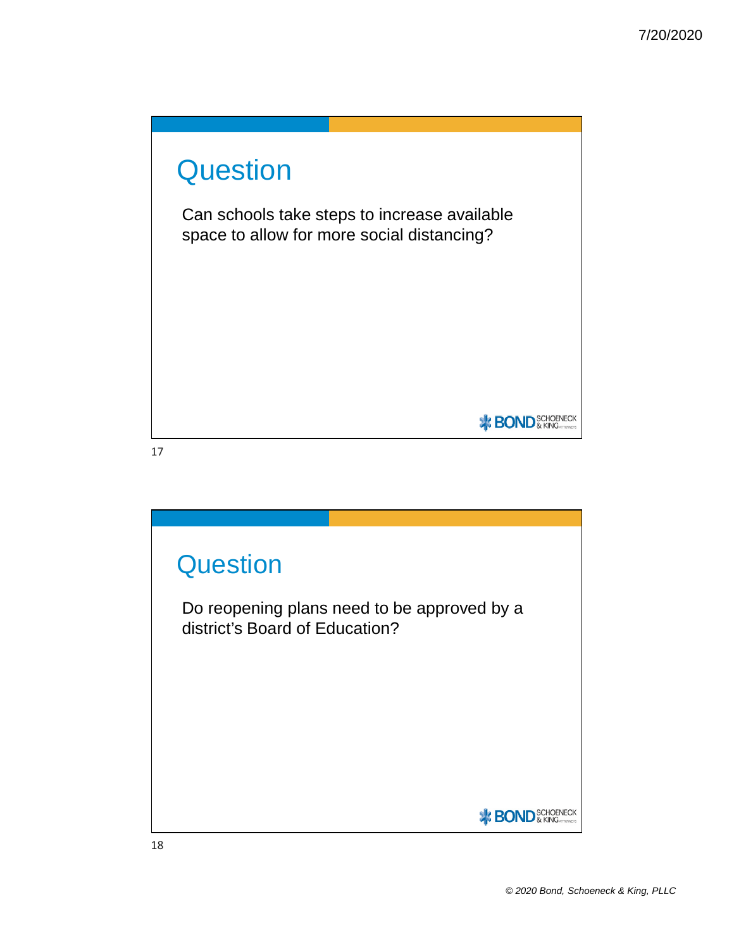

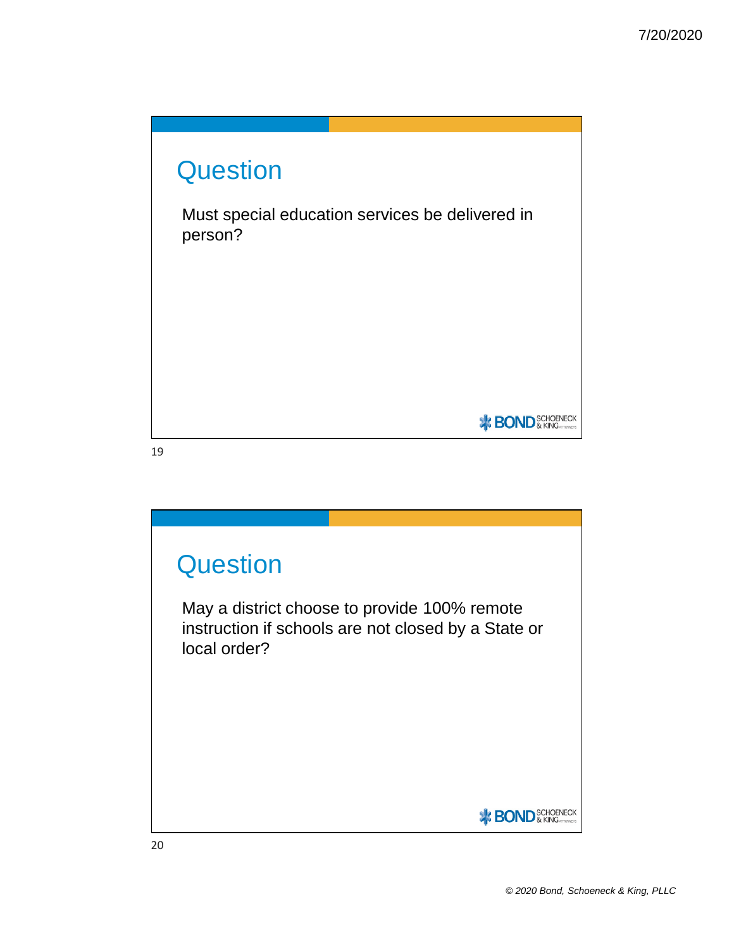

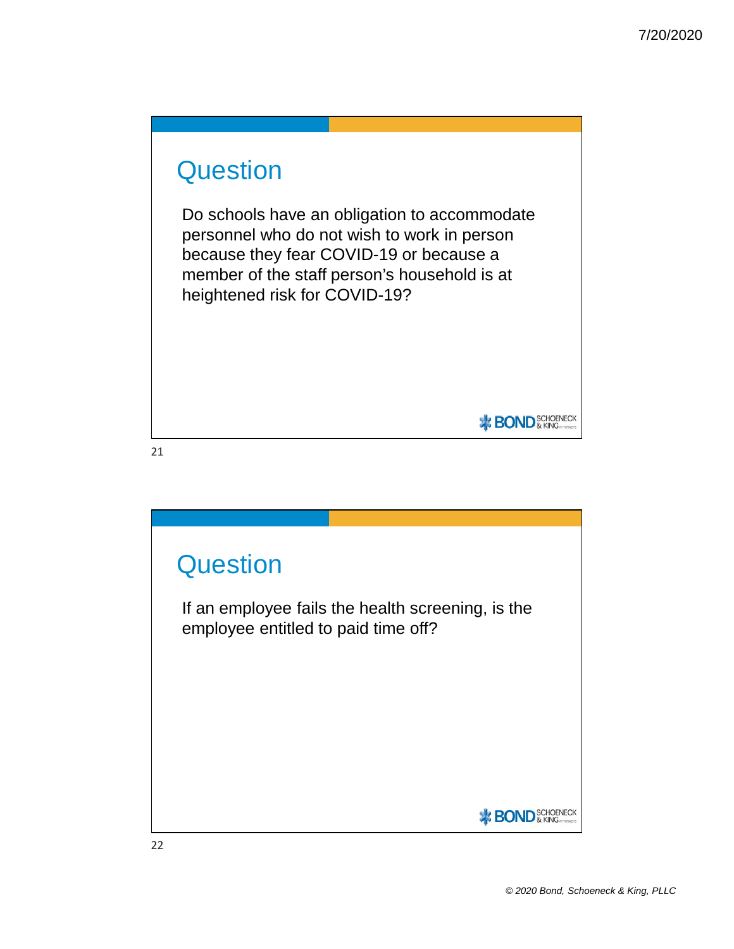

Do schools have an obligation to accommodate personnel who do not wish to work in person because they fear COVID-19 or because a member of the staff person's household is at heightened risk for COVID-19?

21



**BOND** SCHOENECK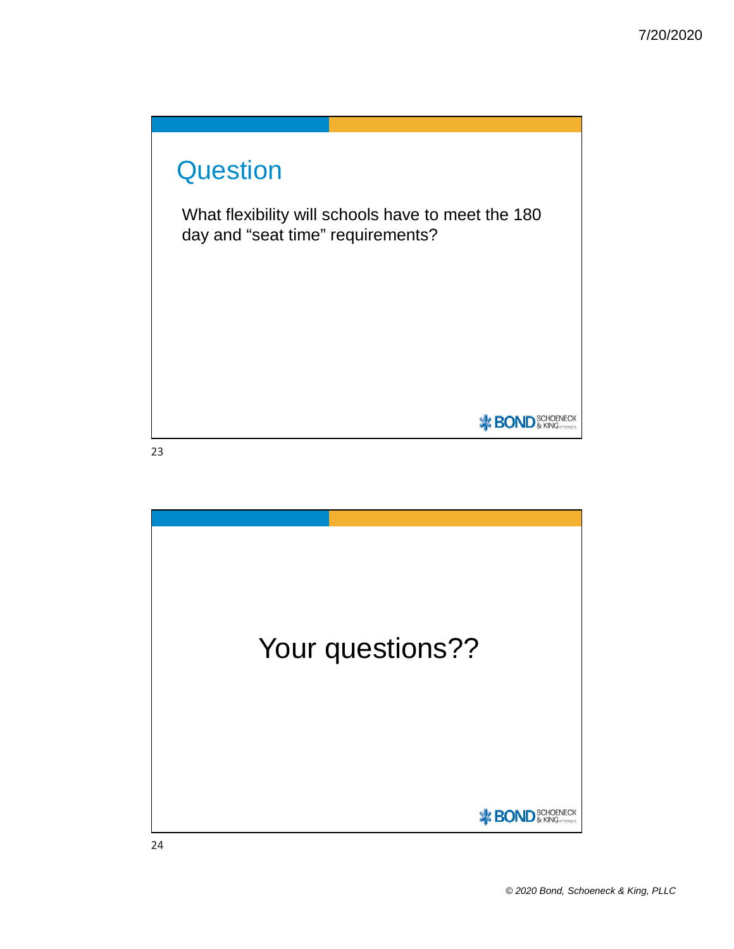